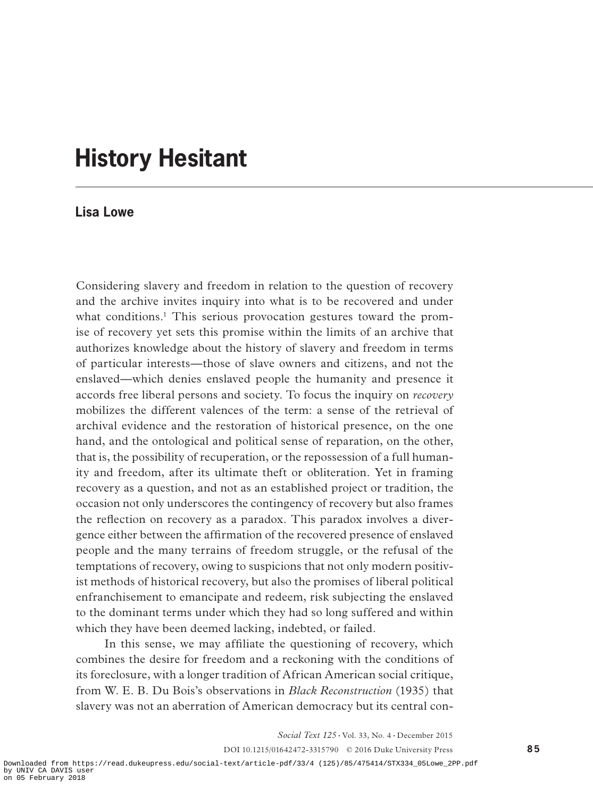# **History Hesitant**

## **Lisa Lowe**

Considering slavery and freedom in relation to the question of recovery and the archive invites inquiry into what is to be recovered and under what conditions.<sup>1</sup> This serious provocation gestures toward the promise of recovery yet sets this promise within the limits of an archive that authorizes knowledge about the history of slavery and freedom in terms of particular interests—those of slave owners and citizens, and not the enslaved—which denies enslaved people the humanity and presence it accords free liberal persons and society. To focus the inquiry on *recovery* mobilizes the different valences of the term: a sense of the retrieval of archival evidence and the restoration of historical presence, on the one hand, and the ontological and political sense of reparation, on the other, that is, the possibility of recuperation, or the repossession of a full humanity and freedom, after its ultimate theft or obliteration. Yet in framing recovery as a question, and not as an established project or tradition, the occasion not only underscores the contingency of recovery but also frames the reflection on recovery as a paradox. This paradox involves a divergence either between the affirmation of the recovered presence of enslaved people and the many terrains of freedom struggle, or the refusal of the temptations of recovery, owing to suspicions that not only modern positivist methods of historical recovery, but also the promises of liberal political enfranchisement to emancipate and redeem, risk subjecting the enslaved to the dominant terms under which they had so long suffered and within which they have been deemed lacking, indebted, or failed.

In this sense, we may affiliate the questioning of recovery, which combines the desire for freedom and a reckoning with the conditions of its foreclosure, with a longer tradition of African American social critique, from W. E. B. Du Bois's observations in *Black Reconstruction* (1935) that slavery was not an aberration of American democracy but its central con-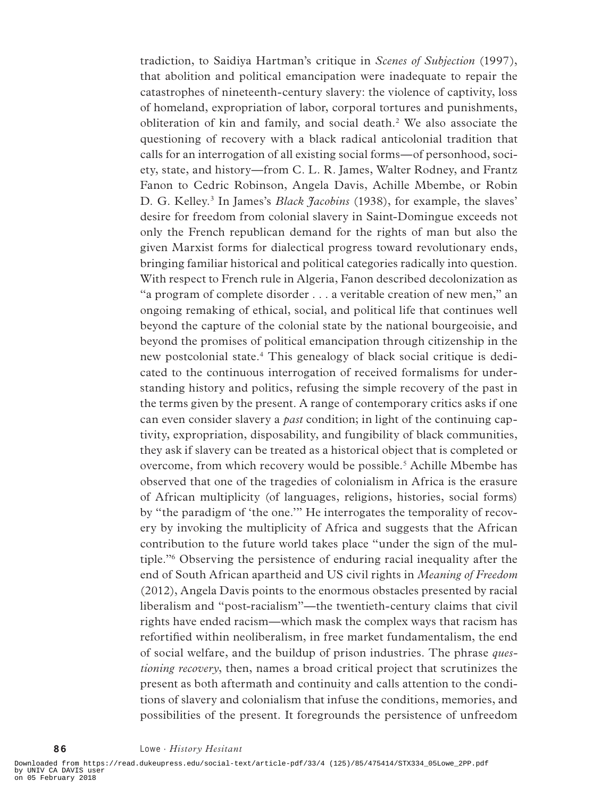tradiction, to Saidiya Hartman's critique in *Scenes of Subjection* (1997), that abolition and political emancipation were inadequate to repair the catastrophes of nineteenth-century slavery: the violence of captivity, loss of homeland, expropriation of labor, corporal tortures and punishments, obliteration of kin and family, and social death.2 We also associate the questioning of recovery with a black radical anticolonial tradition that calls for an interrogation of all existing social forms—of personhood, society, state, and history—from C. L. R. James, Walter Rodney, and Frantz Fanon to Cedric Robinson, Angela Davis, Achille Mbembe, or Robin D. G. Kelley.<sup>3</sup> In James's *Black Jacobins* (1938), for example, the slaves' desire for freedom from colonial slavery in Saint-Domingue exceeds not only the French republican demand for the rights of man but also the given Marxist forms for dialectical progress toward revolutionary ends, bringing familiar historical and political categories radically into question. With respect to French rule in Algeria, Fanon described decolonization as "a program of complete disorder . . . a veritable creation of new men," an ongoing remaking of ethical, social, and political life that continues well beyond the capture of the colonial state by the national bourgeoisie, and beyond the promises of political emancipation through citizenship in the new postcolonial state.4 This genealogy of black social critique is dedicated to the continuous interrogation of received formalisms for understanding history and politics, refusing the simple recovery of the past in the terms given by the present. A range of contemporary critics asks if one can even consider slavery a *past* condition; in light of the continuing captivity, expropriation, disposability, and fungibility of black communities, they ask if slavery can be treated as a historical object that is completed or overcome, from which recovery would be possible.<sup>5</sup> Achille Mbembe has observed that one of the tragedies of colonialism in Africa is the erasure of African multiplicity (of languages, religions, histories, social forms) by "the paradigm of 'the one.'" He interrogates the temporality of recovery by invoking the multiplicity of Africa and suggests that the African contribution to the future world takes place "under the sign of the multiple."6 Observing the persistence of enduring racial inequality after the end of South African apartheid and US civil rights in *Meaning of Freedom*  (2012), Angela Davis points to the enormous obstacles presented by racial liberalism and "post-racialism"—the twentieth-century claims that civil rights have ended racism—which mask the complex ways that racism has refortified within neoliberalism, in free market fundamentalism, the end of social welfare, and the buildup of prison industries. The phrase *questioning recovery*, then, names a broad critical project that scrutinizes the present as both aftermath and continuity and calls attention to the conditions of slavery and colonialism that infuse the conditions, memories, and possibilities of the present. It foregrounds the persistence of unfreedom

**8 6** Lowe · *History Hesitant*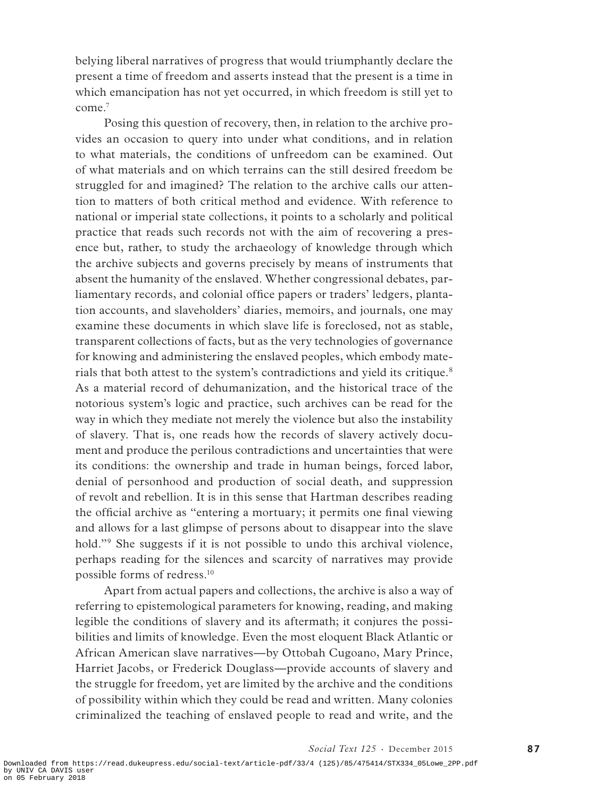belying liberal narratives of progress that would triumphantly declare the present a time of freedom and asserts instead that the present is a time in which emancipation has not yet occurred, in which freedom is still yet to come.7

Posing this question of recovery, then, in relation to the archive provides an occasion to query into under what conditions, and in relation to what materials, the conditions of unfreedom can be examined. Out of what materials and on which terrains can the still desired freedom be struggled for and imagined? The relation to the archive calls our attention to matters of both critical method and evidence. With reference to national or imperial state collections, it points to a scholarly and political practice that reads such records not with the aim of recovering a presence but, rather, to study the archaeology of knowledge through which the archive subjects and governs precisely by means of instruments that absent the humanity of the enslaved. Whether congressional debates, parliamentary records, and colonial office papers or traders' ledgers, plantation accounts, and slaveholders' diaries, memoirs, and journals, one may examine these documents in which slave life is foreclosed, not as stable, transparent collections of facts, but as the very technologies of governance for knowing and administering the enslaved peoples, which embody materials that both attest to the system's contradictions and yield its critique.<sup>8</sup> As a material record of dehumanization, and the historical trace of the notorious system's logic and practice, such archives can be read for the way in which they mediate not merely the violence but also the instability of slavery. That is, one reads how the records of slavery actively document and produce the perilous contradictions and uncertainties that were its conditions: the ownership and trade in human beings, forced labor, denial of personhood and production of social death, and suppression of revolt and rebellion. It is in this sense that Hartman describes reading the official archive as "entering a mortuary; it permits one final viewing and allows for a last glimpse of persons about to disappear into the slave hold."9 She suggests if it is not possible to undo this archival violence, perhaps reading for the silences and scarcity of narratives may provide possible forms of redress.10

Apart from actual papers and collections, the archive is also a way of referring to epistemological parameters for knowing, reading, and making legible the conditions of slavery and its aftermath; it conjures the possibilities and limits of knowledge. Even the most eloquent Black Atlantic or African American slave narratives—by Ottobah Cugoano, Mary Prince, Harriet Jacobs, or Frederick Douglass—provide accounts of slavery and the struggle for freedom, yet are limited by the archive and the conditions of possibility within which they could be read and written. Many colonies criminalized the teaching of enslaved people to read and write, and the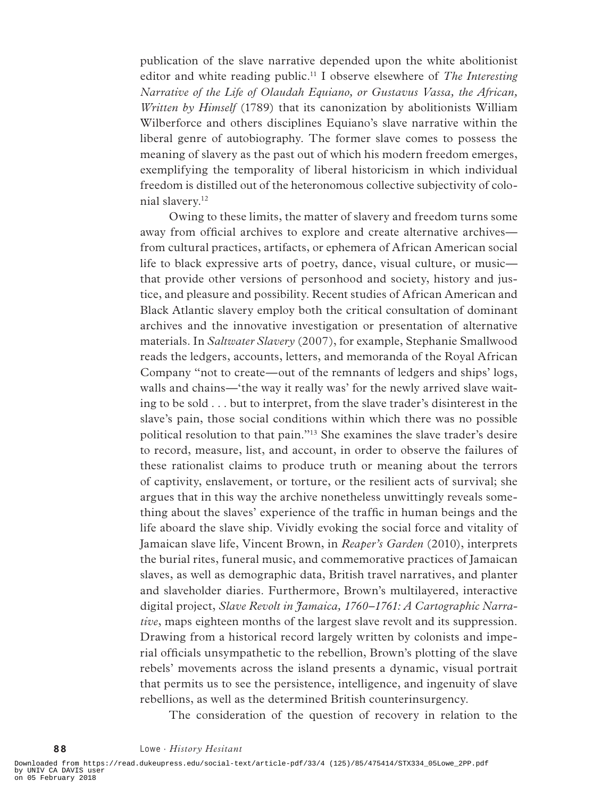publication of the slave narrative depended upon the white abolitionist editor and white reading public.11 I observe elsewhere of *The Interesting Narrative of the Life of Olaudah Equiano, or Gustavus Vassa, the African, Written by Himself* (1789) that its canonization by abolitionists William Wilberforce and others disciplines Equiano's slave narrative within the liberal genre of autobiography. The former slave comes to possess the meaning of slavery as the past out of which his modern freedom emerges, exemplifying the temporality of liberal historicism in which individual freedom is distilled out of the heteronomous collective subjectivity of colonial slavery.12

Owing to these limits, the matter of slavery and freedom turns some away from official archives to explore and create alternative archives from cultural practices, artifacts, or ephemera of African American social life to black expressive arts of poetry, dance, visual culture, or music that provide other versions of personhood and society, history and justice, and pleasure and possibility. Recent studies of African American and Black Atlantic slavery employ both the critical consultation of dominant archives and the innovative investigation or presentation of alternative materials. In *Saltwater Slavery* (2007), for example, Stephanie Smallwood reads the ledgers, accounts, letters, and memoranda of the Royal African Company "not to create—out of the remnants of ledgers and ships' logs, walls and chains—'the way it really was' for the newly arrived slave waiting to be sold . . . but to interpret, from the slave trader's disinterest in the slave's pain, those social conditions within which there was no possible political resolution to that pain."13 She examines the slave trader's desire to record, measure, list, and account, in order to observe the failures of these rationalist claims to produce truth or meaning about the terrors of captivity, enslavement, or torture, or the resilient acts of survival; she argues that in this way the archive nonetheless unwittingly reveals something about the slaves' experience of the traffic in human beings and the life aboard the slave ship. Vividly evoking the social force and vitality of Jamaican slave life, Vincent Brown, in *Reaper's Garden* (2010), interprets the burial rites, funeral music, and commemorative practices of Jamaican slaves, as well as demographic data, British travel narratives, and planter and slaveholder diaries. Furthermore, Brown's multilayered, interactive digital project, *Slave Revolt in Jamaica, 1760–1761: A Cartographic Narrative*, maps eighteen months of the largest slave revolt and its suppression. Drawing from a historical record largely written by colonists and imperial officials unsympathetic to the rebellion, Brown's plotting of the slave rebels' movements across the island presents a dynamic, visual portrait that permits us to see the persistence, intelligence, and ingenuity of slave rebellions, as well as the determined British counterinsurgency.

The consideration of the question of recovery in relation to the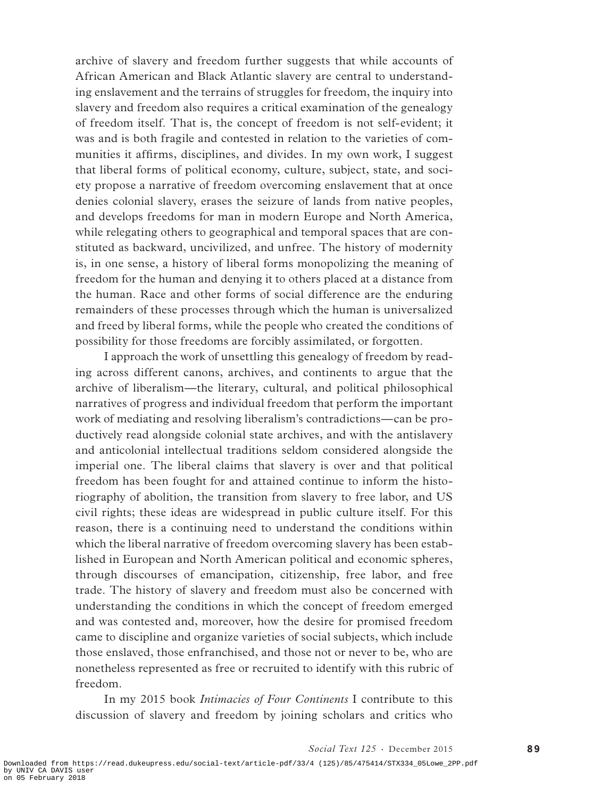archive of slavery and freedom further suggests that while accounts of African American and Black Atlantic slavery are central to understanding enslavement and the terrains of struggles for freedom, the inquiry into slavery and freedom also requires a critical examination of the genealogy of freedom itself. That is, the concept of freedom is not self-evident; it was and is both fragile and contested in relation to the varieties of communities it affirms, disciplines, and divides. In my own work, I suggest that liberal forms of political economy, culture, subject, state, and society propose a narrative of freedom overcoming enslavement that at once denies colonial slavery, erases the seizure of lands from native peoples, and develops freedoms for man in modern Europe and North America, while relegating others to geographical and temporal spaces that are constituted as backward, uncivilized, and unfree. The history of modernity is, in one sense, a history of liberal forms monopolizing the meaning of freedom for the human and denying it to others placed at a distance from the human. Race and other forms of social difference are the enduring remainders of these processes through which the human is universalized and freed by liberal forms, while the people who created the conditions of possibility for those freedoms are forcibly assimilated, or forgotten.

I approach the work of unsettling this genealogy of freedom by reading across different canons, archives, and continents to argue that the archive of liberalism—the literary, cultural, and political philosophical narratives of progress and individual freedom that perform the important work of mediating and resolving liberalism's contradictions—can be productively read alongside colonial state archives, and with the antislavery and anticolonial intellectual traditions seldom considered alongside the imperial one. The liberal claims that slavery is over and that political freedom has been fought for and attained continue to inform the historiography of abolition, the transition from slavery to free labor, and US civil rights; these ideas are widespread in public culture itself. For this reason, there is a continuing need to understand the conditions within which the liberal narrative of freedom overcoming slavery has been established in European and North American political and economic spheres, through discourses of emancipation, citizenship, free labor, and free trade. The history of slavery and freedom must also be concerned with understanding the conditions in which the concept of freedom emerged and was contested and, moreover, how the desire for promised freedom came to discipline and organize varieties of social subjects, which include those enslaved, those enfranchised, and those not or never to be, who are nonetheless represented as free or recruited to identify with this rubric of freedom.

In my 2015 book *Intimacies of Four Continents* I contribute to this discussion of slavery and freedom by joining scholars and critics who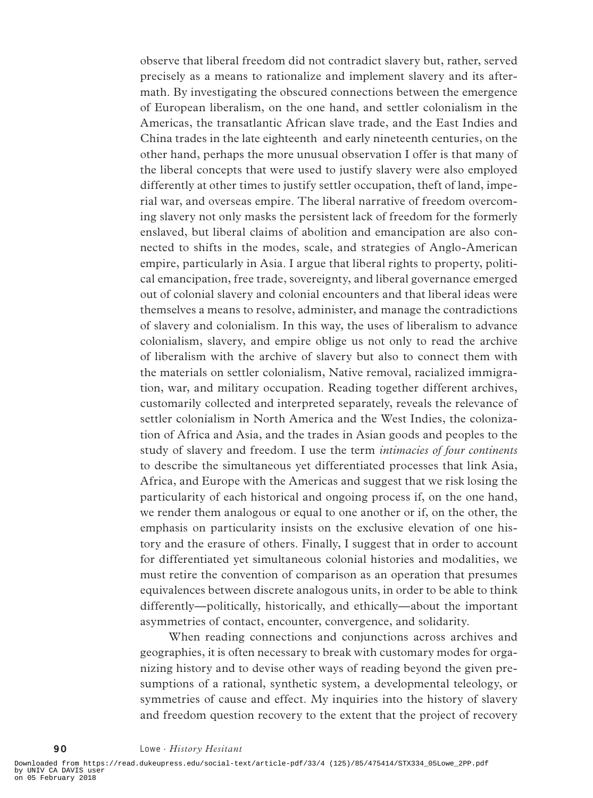observe that liberal freedom did not contradict slavery but, rather, served precisely as a means to rationalize and implement slavery and its aftermath. By investigating the obscured connections between the emergence of European liberalism, on the one hand, and settler colonialism in the Americas, the transatlantic African slave trade, and the East Indies and China trades in the late eighteenth and early nineteenth centuries, on the other hand, perhaps the more unusual observation I offer is that many of the liberal concepts that were used to justify slavery were also employed differently at other times to justify settler occupation, theft of land, imperial war, and overseas empire. The liberal narrative of freedom overcoming slavery not only masks the persistent lack of freedom for the formerly enslaved, but liberal claims of abolition and emancipation are also connected to shifts in the modes, scale, and strategies of Anglo-American empire, particularly in Asia. I argue that liberal rights to property, political emancipation, free trade, sovereignty, and liberal governance emerged out of colonial slavery and colonial encounters and that liberal ideas were themselves a means to resolve, administer, and manage the contradictions of slavery and colonialism. In this way, the uses of liberalism to advance colonialism, slavery, and empire oblige us not only to read the archive of liberalism with the archive of slavery but also to connect them with the materials on settler colonialism, Native removal, racialized immigration, war, and military occupation. Reading together different archives, customarily collected and interpreted separately, reveals the relevance of settler colonialism in North America and the West Indies, the colonization of Africa and Asia, and the trades in Asian goods and peoples to the study of slavery and freedom. I use the term *intimacies of four continents* to describe the simultaneous yet differentiated processes that link Asia, Africa, and Europe with the Americas and suggest that we risk losing the particularity of each historical and ongoing process if, on the one hand, we render them analogous or equal to one another or if, on the other, the emphasis on particularity insists on the exclusive elevation of one history and the erasure of others. Finally, I suggest that in order to account for differentiated yet simultaneous colonial histories and modalities, we must retire the convention of comparison as an operation that presumes equivalences between discrete analogous units, in order to be able to think differently—politically, historically, and ethically—about the important asymmetries of contact, encounter, convergence, and solidarity.

When reading connections and conjunctions across archives and geographies, it is often necessary to break with customary modes for organizing history and to devise other ways of reading beyond the given presumptions of a rational, synthetic system, a developmental teleology, or symmetries of cause and effect. My inquiries into the history of slavery and freedom question recovery to the extent that the project of recovery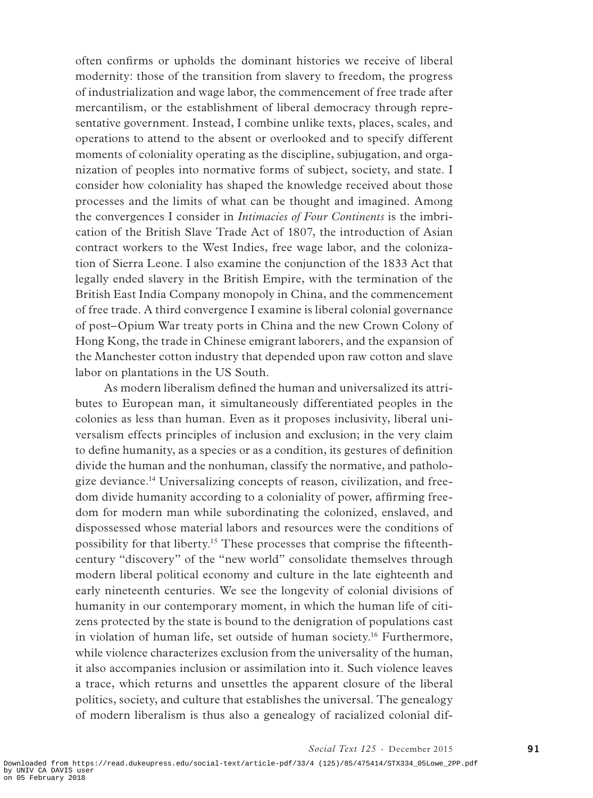often confirms or upholds the dominant histories we receive of liberal modernity: those of the transition from slavery to freedom, the progress of industrialization and wage labor, the commencement of free trade after mercantilism, or the establishment of liberal democracy through representative government. Instead, I combine unlike texts, places, scales, and operations to attend to the absent or overlooked and to specify different moments of coloniality operating as the discipline, subjugation, and organization of peoples into normative forms of subject, society, and state. I consider how coloniality has shaped the knowledge received about those processes and the limits of what can be thought and imagined. Among the convergences I consider in *Intimacies of Four Continents* is the imbrication of the British Slave Trade Act of 1807, the introduction of Asian contract workers to the West Indies, free wage labor, and the colonization of Sierra Leone. I also examine the conjunction of the 1833 Act that legally ended slavery in the British Empire, with the termination of the British East India Company monopoly in China, and the commencement of free trade. A third convergence I examine is liberal colonial governance of post–Opium War treaty ports in China and the new Crown Colony of Hong Kong, the trade in Chinese emigrant laborers, and the expansion of the Manchester cotton industry that depended upon raw cotton and slave labor on plantations in the US South.

As modern liberalism defined the human and universalized its attributes to European man, it simultaneously differentiated peoples in the colonies as less than human. Even as it proposes inclusivity, liberal universalism effects principles of inclusion and exclusion; in the very claim to define humanity, as a species or as a condition, its gestures of definition divide the human and the nonhuman, classify the normative, and pathologize deviance.14 Universalizing concepts of reason, civilization, and freedom divide humanity according to a coloniality of power, affirming freedom for modern man while subordinating the colonized, enslaved, and dispossessed whose material labors and resources were the conditions of possibility for that liberty.<sup>15</sup> These processes that comprise the fifteenthcentury "discovery" of the "new world" consolidate themselves through modern liberal political economy and culture in the late eighteenth and early nineteenth centuries. We see the longevity of colonial divisions of humanity in our contemporary moment, in which the human life of citizens protected by the state is bound to the denigration of populations cast in violation of human life, set outside of human society.16 Furthermore, while violence characterizes exclusion from the universality of the human, it also accompanies inclusion or assimilation into it. Such violence leaves a trace, which returns and unsettles the apparent closure of the liberal politics, society, and culture that establishes the universal. The genealogy of modern liberalism is thus also a genealogy of racialized colonial dif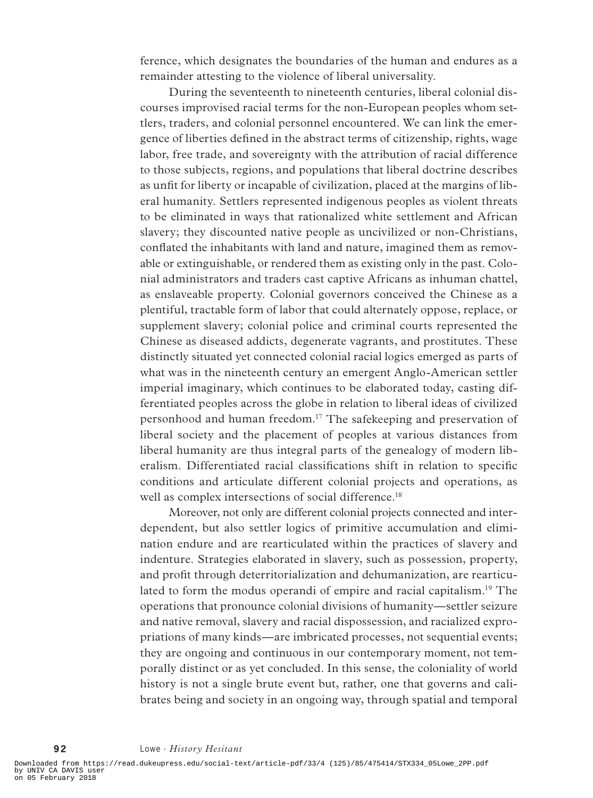ference, which designates the boundaries of the human and endures as a remainder attesting to the violence of liberal universality.

During the seventeenth to nineteenth centuries, liberal colonial discourses improvised racial terms for the non-European peoples whom settlers, traders, and colonial personnel encountered. We can link the emergence of liberties defined in the abstract terms of citizenship, rights, wage labor, free trade, and sovereignty with the attribution of racial difference to those subjects, regions, and populations that liberal doctrine describes as unfit for liberty or incapable of civilization, placed at the margins of liberal humanity. Settlers represented indigenous peoples as violent threats to be eliminated in ways that rationalized white settlement and African slavery; they discounted native people as uncivilized or non-Christians, conflated the inhabitants with land and nature, imagined them as removable or extinguishable, or rendered them as existing only in the past. Colonial administrators and traders cast captive Africans as inhuman chattel, as enslaveable property. Colonial governors conceived the Chinese as a plentiful, tractable form of labor that could alternately oppose, replace, or supplement slavery; colonial police and criminal courts represented the Chinese as diseased addicts, degenerate vagrants, and prostitutes. These distinctly situated yet connected colonial racial logics emerged as parts of what was in the nineteenth century an emergent Anglo-American settler imperial imaginary, which continues to be elaborated today, casting differentiated peoples across the globe in relation to liberal ideas of civilized personhood and human freedom.<sup>17</sup> The safekeeping and preservation of liberal society and the placement of peoples at various distances from liberal humanity are thus integral parts of the genealogy of modern liberalism. Differentiated racial classifications shift in relation to specific conditions and articulate different colonial projects and operations, as well as complex intersections of social difference.<sup>18</sup>

Moreover, not only are different colonial projects connected and interdependent, but also settler logics of primitive accumulation and elimination endure and are rearticulated within the practices of slavery and indenture. Strategies elaborated in slavery, such as possession, property, and profit through deterritorialization and dehumanization, are rearticulated to form the modus operandi of empire and racial capitalism.19 The operations that pronounce colonial divisions of humanity—settler seizure and native removal, slavery and racial dispossession, and racialized expropriations of many kinds—are imbricated processes, not sequential events; they are ongoing and continuous in our contemporary moment, not temporally distinct or as yet concluded. In this sense, the coloniality of world history is not a single brute event but, rather, one that governs and calibrates being and society in an ongoing way, through spatial and temporal

**92** Lowe · *History Hesitant*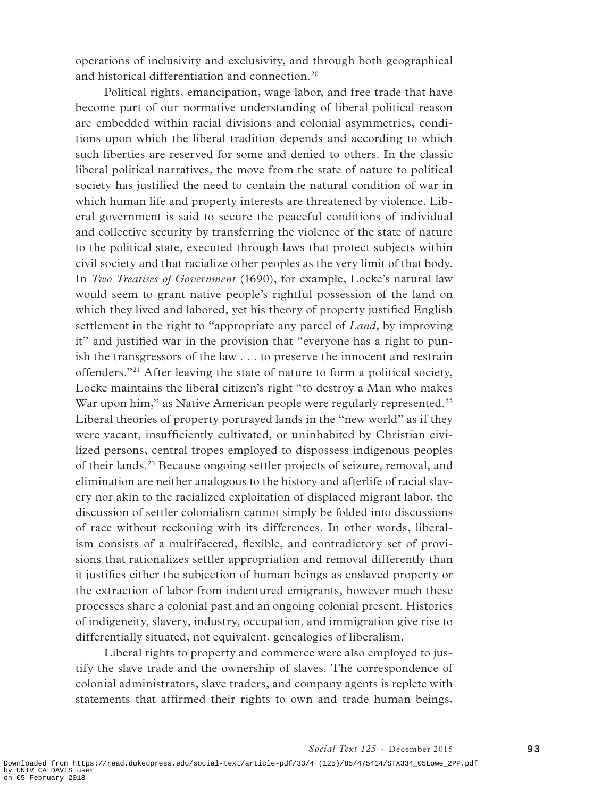operations of inclusivity and exclusivity, and through both geographical and historical differentiation and connection.20

Political rights, emancipation, wage labor, and free trade that have become part of our normative understanding of liberal political reason are embedded within racial divisions and colonial asymmetries, conditions upon which the liberal tradition depends and according to which such liberties are reserved for some and denied to others. In the classic liberal political narratives, the move from the state of nature to political society has justified the need to contain the natural condition of war in which human life and property interests are threatened by violence. Liberal government is said to secure the peaceful conditions of individual and collective security by transferring the violence of the state of nature to the political state, executed through laws that protect subjects within civil society and that racialize other peoples as the very limit of that body. In *Two Treatises of Government* (1690), for example, Locke's natural law would seem to grant native people's rightful possession of the land on which they lived and labored, yet his theory of property justified English settlement in the right to "appropriate any parcel of *Land*, by improving it" and justified war in the provision that "everyone has a right to punish the transgressors of the law . . . to preserve the innocent and restrain offenders."21 After leaving the state of nature to form a political society, Locke maintains the liberal citizen's right "to destroy a Man who makes War upon him," as Native American people were regularly represented.<sup>22</sup> Liberal theories of property portrayed lands in the "new world" as if they were vacant, insufficiently cultivated, or uninhabited by Christian civilized persons, central tropes employed to dispossess indigenous peoples of their lands.23 Because ongoing settler projects of seizure, removal, and elimination are neither analogous to the history and afterlife of racial slavery nor akin to the racialized exploitation of displaced migrant labor, the discussion of settler colonialism cannot simply be folded into discussions of race without reckoning with its differences. In other words, liberalism consists of a multifaceted, flexible, and contradictory set of provisions that rationalizes settler appropriation and removal differently than it justifies either the subjection of human beings as enslaved property or the extraction of labor from indentured emigrants, however much these processes share a colonial past and an ongoing colonial present. Histories of indigeneity, slavery, industry, occupation, and immigration give rise to differentially situated, not equivalent, genealogies of liberalism.

Liberal rights to property and commerce were also employed to justify the slave trade and the ownership of slaves. The correspondence of colonial administrators, slave traders, and company agents is replete with statements that affirmed their rights to own and trade human beings,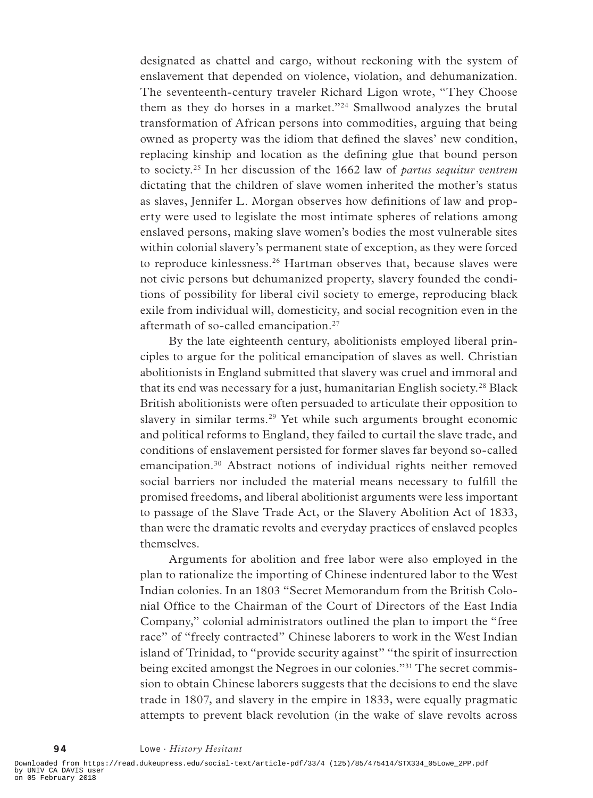designated as chattel and cargo, without reckoning with the system of enslavement that depended on violence, violation, and dehumanization. The seventeenth-century traveler Richard Ligon wrote, "They Choose them as they do horses in a market."24 Smallwood analyzes the brutal transformation of African persons into commodities, arguing that being owned as property was the idiom that defined the slaves' new condition, replacing kinship and location as the defining glue that bound person to society.25 In her discussion of the 1662 law of *partus sequitur ventrem*  dictating that the children of slave women inherited the mother's status as slaves, Jennifer L. Morgan observes how definitions of law and property were used to legislate the most intimate spheres of relations among enslaved persons, making slave women's bodies the most vulnerable sites within colonial slavery's permanent state of exception, as they were forced to reproduce kinlessness.26 Hartman observes that, because slaves were not civic persons but dehumanized property, slavery founded the conditions of possibility for liberal civil society to emerge, reproducing black exile from individual will, domesticity, and social recognition even in the aftermath of so-called emancipation.27

By the late eighteenth century, abolitionists employed liberal principles to argue for the political emancipation of slaves as well. Christian abolitionists in England submitted that slavery was cruel and immoral and that its end was necessary for a just, humanitarian English society.28 Black British abolitionists were often persuaded to articulate their opposition to slavery in similar terms.<sup>29</sup> Yet while such arguments brought economic and political reforms to England, they failed to curtail the slave trade, and conditions of enslavement persisted for former slaves far beyond so-called emancipation.30 Abstract notions of individual rights neither removed social barriers nor included the material means necessary to fulfill the promised freedoms, and liberal abolitionist arguments were less important to passage of the Slave Trade Act, or the Slavery Abolition Act of 1833, than were the dramatic revolts and everyday practices of enslaved peoples themselves.

Arguments for abolition and free labor were also employed in the plan to rationalize the importing of Chinese indentured labor to the West Indian colonies. In an 1803 "Secret Memorandum from the British Colonial Office to the Chairman of the Court of Directors of the East India Company," colonial administrators outlined the plan to import the "free race" of "freely contracted" Chinese laborers to work in the West Indian island of Trinidad, to "provide security against" "the spirit of insurrection being excited amongst the Negroes in our colonies."31 The secret commission to obtain Chinese laborers suggests that the decisions to end the slave trade in 1807, and slavery in the empire in 1833, were equally pragmatic attempts to prevent black revolution (in the wake of slave revolts across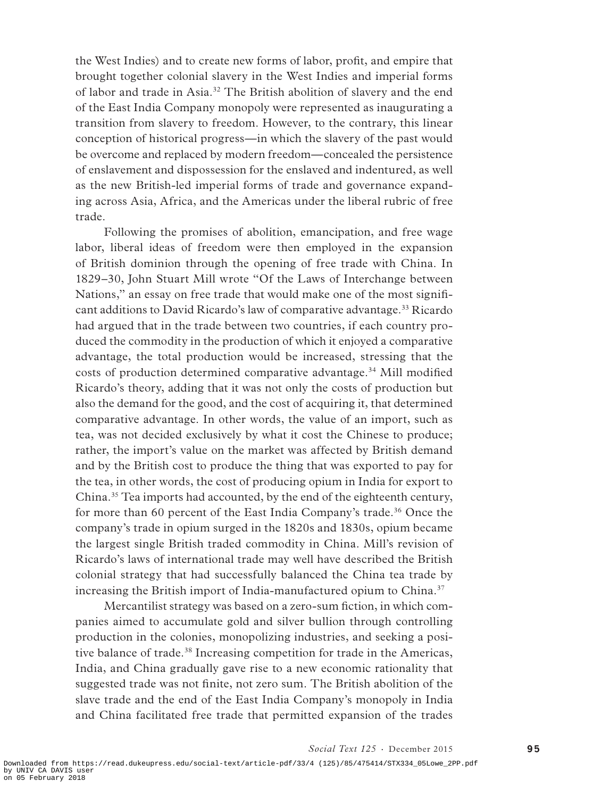the West Indies) and to create new forms of labor, profit, and empire that brought together colonial slavery in the West Indies and imperial forms of labor and trade in Asia.32 The British abolition of slavery and the end of the East India Company monopoly were represented as inaugurating a transition from slavery to freedom. However, to the contrary, this linear conception of historical progress—in which the slavery of the past would be overcome and replaced by modern freedom—concealed the persistence of enslavement and dispossession for the enslaved and indentured, as well as the new British-led imperial forms of trade and governance expanding across Asia, Africa, and the Americas under the liberal rubric of free trade.

Following the promises of abolition, emancipation, and free wage labor, liberal ideas of freedom were then employed in the expansion of British dominion through the opening of free trade with China. In 1829–30, John Stuart Mill wrote "Of the Laws of Interchange between Nations," an essay on free trade that would make one of the most significant additions to David Ricardo's law of comparative advantage.<sup>33</sup> Ricardo had argued that in the trade between two countries, if each country produced the commodity in the production of which it enjoyed a comparative advantage, the total production would be increased, stressing that the costs of production determined comparative advantage.<sup>34</sup> Mill modified Ricardo's theory, adding that it was not only the costs of production but also the demand for the good, and the cost of acquiring it, that determined comparative advantage. In other words, the value of an import, such as tea, was not decided exclusively by what it cost the Chinese to produce; rather, the import's value on the market was affected by British demand and by the British cost to produce the thing that was exported to pay for the tea, in other words, the cost of producing opium in India for export to China.35 Tea imports had accounted, by the end of the eighteenth century, for more than 60 percent of the East India Company's trade.<sup>36</sup> Once the company's trade in opium surged in the 1820s and 1830s, opium became the largest single British traded commodity in China. Mill's revision of Ricardo's laws of international trade may well have described the British colonial strategy that had successfully balanced the China tea trade by increasing the British import of India-manufactured opium to China. $37$ 

Mercantilist strategy was based on a zero-sum fiction, in which companies aimed to accumulate gold and silver bullion through controlling production in the colonies, monopolizing industries, and seeking a positive balance of trade.<sup>38</sup> Increasing competition for trade in the Americas, India, and China gradually gave rise to a new economic rationality that suggested trade was not finite, not zero sum. The British abolition of the slave trade and the end of the East India Company's monopoly in India and China facilitated free trade that permitted expansion of the trades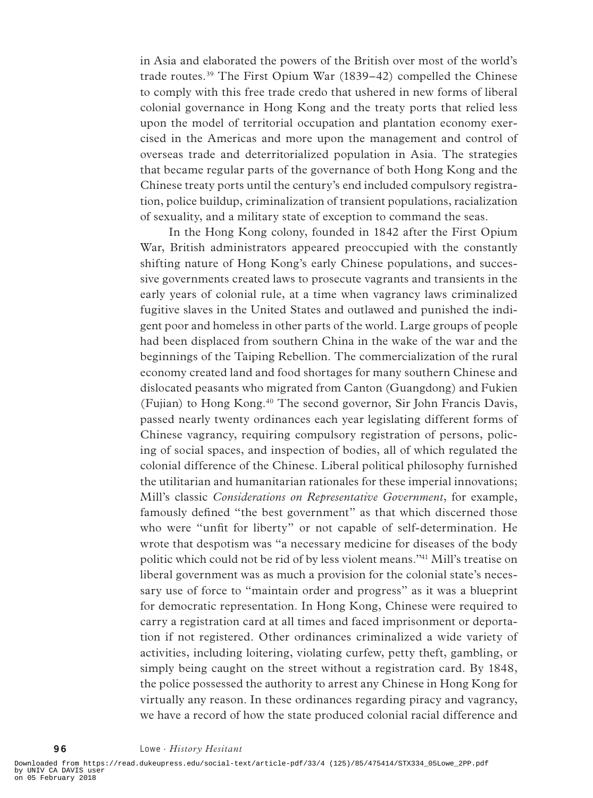in Asia and elaborated the powers of the British over most of the world's trade routes.39 The First Opium War (1839–42) compelled the Chinese to comply with this free trade credo that ushered in new forms of liberal colonial governance in Hong Kong and the treaty ports that relied less upon the model of territorial occupation and plantation economy exercised in the Americas and more upon the management and control of overseas trade and deterritorialized population in Asia. The strategies that became regular parts of the governance of both Hong Kong and the Chinese treaty ports until the century's end included compulsory registration, police buildup, criminalization of transient populations, racialization of sexuality, and a military state of exception to command the seas.

In the Hong Kong colony, founded in 1842 after the First Opium War, British administrators appeared preoccupied with the constantly shifting nature of Hong Kong's early Chinese populations, and successive governments created laws to prosecute vagrants and transients in the early years of colonial rule, at a time when vagrancy laws criminalized fugitive slaves in the United States and outlawed and punished the indigent poor and homeless in other parts of the world. Large groups of people had been displaced from southern China in the wake of the war and the beginnings of the Taiping Rebellion. The commercialization of the rural economy created land and food shortages for many southern Chinese and dislocated peasants who migrated from Canton (Guangdong) and Fukien (Fujian) to Hong Kong.40 The second governor, Sir John Francis Davis, passed nearly twenty ordinances each year legislating different forms of Chinese vagrancy, requiring compulsory registration of persons, policing of social spaces, and inspection of bodies, all of which regulated the colonial difference of the Chinese. Liberal political philosophy furnished the utilitarian and humanitarian rationales for these imperial innovations; Mill's classic *Considerations on Representative Government*, for example, famously defined "the best government" as that which discerned those who were "unfit for liberty" or not capable of self-determination. He wrote that despotism was "a necessary medicine for diseases of the body politic which could not be rid of by less violent means."41 Mill's treatise on liberal government was as much a provision for the colonial state's necessary use of force to "maintain order and progress" as it was a blueprint for democratic representation. In Hong Kong, Chinese were required to carry a registration card at all times and faced imprisonment or deportation if not registered. Other ordinances criminalized a wide variety of activities, including loitering, violating curfew, petty theft, gambling, or simply being caught on the street without a registration card. By 1848, the police possessed the authority to arrest any Chinese in Hong Kong for virtually any reason. In these ordinances regarding piracy and vagrancy, we have a record of how the state produced colonial racial difference and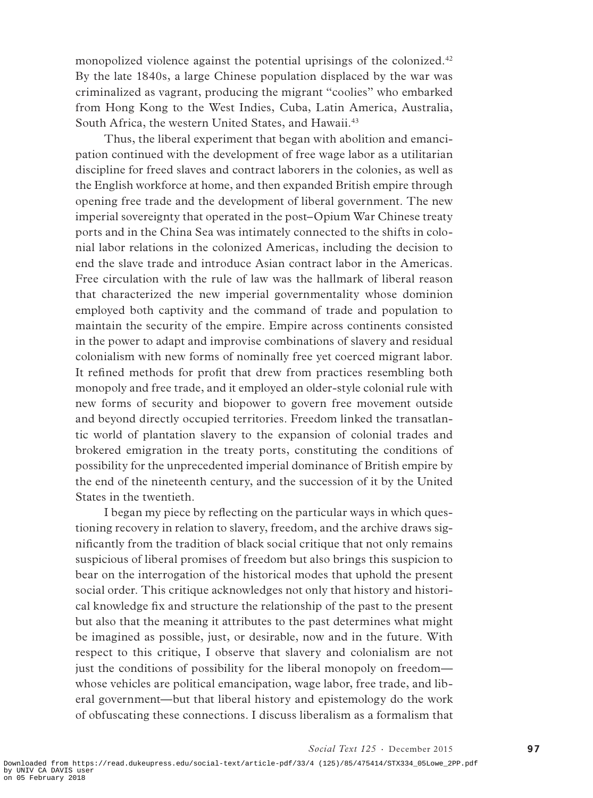monopolized violence against the potential uprisings of the colonized.<sup>42</sup> By the late 1840s, a large Chinese population displaced by the war was criminalized as vagrant, producing the migrant "coolies" who embarked from Hong Kong to the West Indies, Cuba, Latin America, Australia, South Africa, the western United States, and Hawaii.<sup>43</sup>

Thus, the liberal experiment that began with abolition and emancipation continued with the development of free wage labor as a utilitarian discipline for freed slaves and contract laborers in the colonies, as well as the English workforce at home, and then expanded British empire through opening free trade and the development of liberal government. The new imperial sovereignty that operated in the post–Opium War Chinese treaty ports and in the China Sea was intimately connected to the shifts in colonial labor relations in the colonized Americas, including the decision to end the slave trade and introduce Asian contract labor in the Americas. Free circulation with the rule of law was the hallmark of liberal reason that characterized the new imperial governmentality whose dominion employed both captivity and the command of trade and population to maintain the security of the empire. Empire across continents consisted in the power to adapt and improvise combinations of slavery and residual colonialism with new forms of nominally free yet coerced migrant labor. It refined methods for profit that drew from practices resembling both monopoly and free trade, and it employed an older-style colonial rule with new forms of security and biopower to govern free movement outside and beyond directly occupied territories. Freedom linked the transatlantic world of plantation slavery to the expansion of colonial trades and brokered emigration in the treaty ports, constituting the conditions of possibility for the unprecedented imperial dominance of British empire by the end of the nineteenth century, and the succession of it by the United States in the twentieth.

I began my piece by reflecting on the particular ways in which questioning recovery in relation to slavery, freedom, and the archive draws significantly from the tradition of black social critique that not only remains suspicious of liberal promises of freedom but also brings this suspicion to bear on the interrogation of the historical modes that uphold the present social order. This critique acknowledges not only that history and historical knowledge fix and structure the relationship of the past to the present but also that the meaning it attributes to the past determines what might be imagined as possible, just, or desirable, now and in the future. With respect to this critique, I observe that slavery and colonialism are not just the conditions of possibility for the liberal monopoly on freedom whose vehicles are political emancipation, wage labor, free trade, and liberal government—but that liberal history and epistemology do the work of obfuscating these connections. I discuss liberalism as a formalism that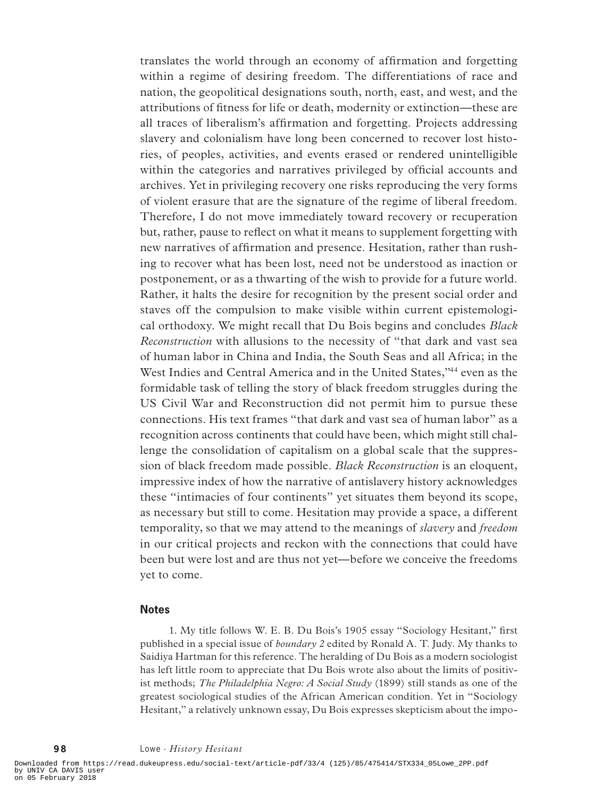translates the world through an economy of affirmation and forgetting within a regime of desiring freedom. The differentiations of race and nation, the geopolitical designations south, north, east, and west, and the attributions of fitness for life or death, modernity or extinction—these are all traces of liberalism's affirmation and forgetting. Projects addressing slavery and colonialism have long been concerned to recover lost histories, of peoples, activities, and events erased or rendered unintelligible within the categories and narratives privileged by official accounts and archives. Yet in privileging recovery one risks reproducing the very forms of violent erasure that are the signature of the regime of liberal freedom. Therefore, I do not move immediately toward recovery or recuperation but, rather, pause to reflect on what it means to supplement forgetting with new narratives of affirmation and presence. Hesitation, rather than rushing to recover what has been lost, need not be understood as inaction or postponement, or as a thwarting of the wish to provide for a future world. Rather, it halts the desire for recognition by the present social order and staves off the compulsion to make visible within current epistemological orthodoxy. We might recall that Du Bois begins and concludes *Black Reconstruction* with allusions to the necessity of "that dark and vast sea of human labor in China and India, the South Seas and all Africa; in the West Indies and Central America and in the United States,"44 even as the formidable task of telling the story of black freedom struggles during the US Civil War and Reconstruction did not permit him to pursue these connections. His text frames "that dark and vast sea of human labor" as a recognition across continents that could have been, which might still challenge the consolidation of capitalism on a global scale that the suppression of black freedom made possible. *Black Reconstruction* is an eloquent, impressive index of how the narrative of antislavery history acknowledges these "intimacies of four continents" yet situates them beyond its scope, as necessary but still to come. Hesitation may provide a space, a different temporality, so that we may attend to the meanings of *slavery* and *freedom* in our critical projects and reckon with the connections that could have been but were lost and are thus not yet—before we conceive the freedoms yet to come.

#### **Notes**

1. My title follows W. E. B. Du Bois's 1905 essay "Sociology Hesitant," first published in a special issue of *boundary 2* edited by Ronald A. T. Judy. My thanks to Saidiya Hartman for this reference. The heralding of Du Bois as a modern sociologist has left little room to appreciate that Du Bois wrote also about the limits of positivist methods; *The Philadelphia Negro: A Social Study* (1899) still stands as one of the greatest sociological studies of the African American condition. Yet in "Sociology Hesitant," a relatively unknown essay, Du Bois expresses skepticism about the impo-

#### **9 8** Lowe · *History Hesitant*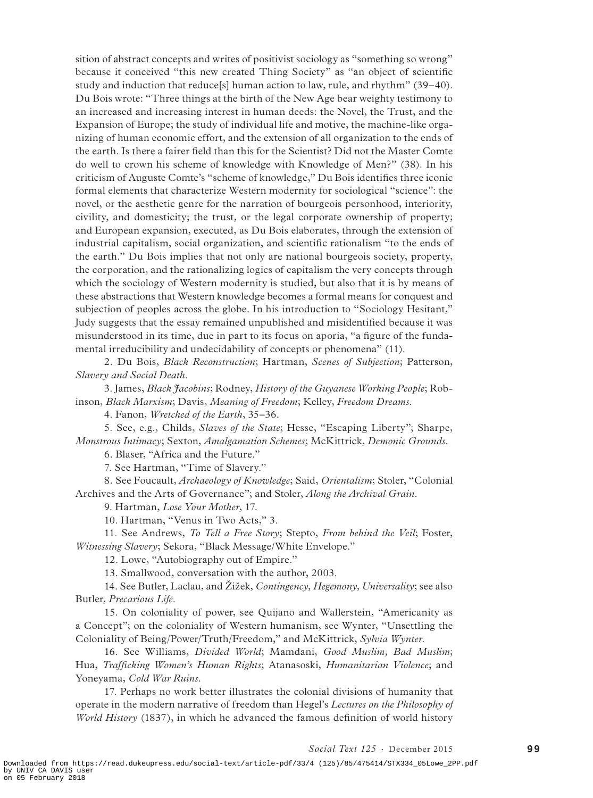sition of abstract concepts and writes of positivist sociology as "something so wrong" because it conceived "this new created Thing Society" as "an object of scientific study and induction that reduce[s] human action to law, rule, and rhythm" (39–40). Du Bois wrote: "Three things at the birth of the New Age bear weighty testimony to an increased and increasing interest in human deeds: the Novel, the Trust, and the Expansion of Europe; the study of individual life and motive, the machine-like organizing of human economic effort, and the extension of all organization to the ends of the earth. Is there a fairer field than this for the Scientist? Did not the Master Comte do well to crown his scheme of knowledge with Knowledge of Men?" (38). In his criticism of Auguste Comte's "scheme of knowledge," Du Bois identifies three iconic formal elements that characterize Western modernity for sociological "science": the novel, or the aesthetic genre for the narration of bourgeois personhood, interiority, civility, and domesticity; the trust, or the legal corporate ownership of property; and European expansion, executed, as Du Bois elaborates, through the extension of industrial capitalism, social organization, and scientific rationalism "to the ends of the earth." Du Bois implies that not only are national bourgeois society, property, the corporation, and the rationalizing logics of capitalism the very concepts through which the sociology of Western modernity is studied, but also that it is by means of these abstractions that Western knowledge becomes a formal means for conquest and subjection of peoples across the globe. In his introduction to "Sociology Hesitant," Judy suggests that the essay remained unpublished and misidentified because it was misunderstood in its time, due in part to its focus on aporia, "a figure of the fundamental irreducibility and undecidability of concepts or phenomena" (11).

2. Du Bois, *Black Reconstruction*; Hartman, *Scenes of Subjection*; Patterson, *Slavery and Social Death*.

3. James, *Black Jacobins*; Rodney, *History of the Guyanese Working People*; Robinson, *Black Marxism*; Davis, *Meaning of Freedom*; Kelley, *Freedom Dreams*.

4. Fanon, *Wretched of the Earth*, 35–36.

5. See, e.g., Childs, *Slaves of the State*; Hesse, "Escaping Liberty"; Sharpe, *Monstrous Intimacy*; Sexton, *Amalgamation Schemes*; McKittrick, *Demonic Grounds*.

6. Blaser, "Africa and the Future."

7. See Hartman, "Time of Slavery."

8. See Foucault, *Archaeology of Knowledge*; Said, *Orientalism*; Stoler, "Colonial Archives and the Arts of Governance"; and Stoler, *Along the Archival Grain*.

9. Hartman, *Lose Your Mother*, 17.

10. Hartman, "Venus in Two Acts," 3.

11. See Andrews, *To Tell a Free Story*; Stepto, *From behind the Veil*; Foster, *Witnessing Slavery*; Sekora, "Black Message/White Envelope."

12. Lowe, "Autobiography out of Empire."

13. Smallwood, conversation with the author, 2003.

14. See Butler, Laclau, and Žižek, *Contingency, Hegemony, Universality*; see also Butler, *Precarious Life*.

15. On coloniality of power, see Quijano and Wallerstein, "Americanity as a Concept"; on the coloniality of Western humanism, see Wynter, "Unsettling the Coloniality of Being/Power/Truth/Freedom," and McKittrick, *Sylvia Wynter*.

16. See Williams, *Divided World*; Mamdani, *Good Muslim, Bad Muslim*; Hua, *Trafficking Women's Human Rights*; Atanasoski, *Humanitarian Violence*; and Yoneyama, *Cold War Ruins*.

17. Perhaps no work better illustrates the colonial divisions of humanity that operate in the modern narrative of freedom than Hegel's *Lectures on the Philosophy of World History* (1837), in which he advanced the famous definition of world history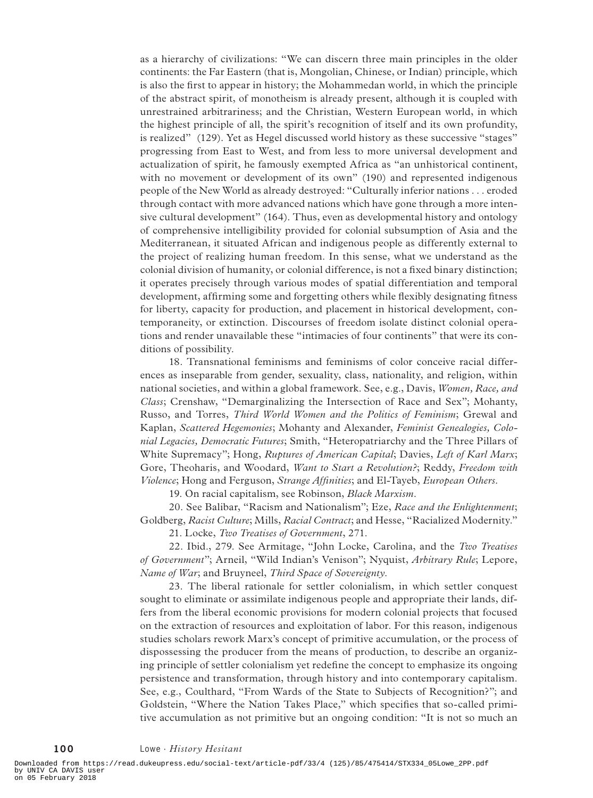as a hierarchy of civilizations: "We can discern three main principles in the older continents: the Far Eastern (that is, Mongolian, Chinese, or Indian) principle, which is also the first to appear in history; the Mohammedan world, in which the principle of the abstract spirit, of monotheism is already present, although it is coupled with unrestrained arbitrariness; and the Christian, Western European world, in which the highest principle of all, the spirit's recognition of itself and its own profundity, is realized" (129). Yet as Hegel discussed world history as these successive "stages" progressing from East to West, and from less to more universal development and actualization of spirit, he famously exempted Africa as "an unhistorical continent, with no movement or development of its own" (190) and represented indigenous people of the New World as already destroyed: "Culturally inferior nations . . . eroded through contact with more advanced nations which have gone through a more intensive cultural development" (164). Thus, even as developmental history and ontology of comprehensive intelligibility provided for colonial subsumption of Asia and the Mediterranean, it situated African and indigenous people as differently external to the project of realizing human freedom. In this sense, what we understand as the colonial division of humanity, or colonial difference, is not a fixed binary distinction; it operates precisely through various modes of spatial differentiation and temporal development, affirming some and forgetting others while flexibly designating fitness for liberty, capacity for production, and placement in historical development, contemporaneity, or extinction. Discourses of freedom isolate distinct colonial operations and render unavailable these "intimacies of four continents" that were its conditions of possibility.

18. Transnational feminisms and feminisms of color conceive racial differences as inseparable from gender, sexuality, class, nationality, and religion, within national societies, and within a global framework. See, e.g., Davis, *Women, Race, and Class*; Crenshaw, "Demarginalizing the Intersection of Race and Sex"; Mohanty, Russo, and Torres, *Third World Women and the Politics of Feminism*; Grewal and Kaplan, *Scattered Hegemonies*; Mohanty and Alexander, *Feminist Genealogies, Colonial Legacies, Democratic Futures*; Smith, "Heteropatriarchy and the Three Pillars of White Supremacy"; Hong, *Ruptures of American Capital*; Davies, *Left of Karl Marx*; Gore, Theoharis, and Woodard, *Want to Start a Revolution?*; Reddy, *Freedom with Violence*; Hong and Ferguson, *Strange Affinities*; and El-Tayeb, *European Others*.

19. On racial capitalism, see Robinson, *Black Marxism*.

20. See Balibar, "Racism and Nationalism"; Eze, *Race and the Enlightenment*; Goldberg, *Racist Culture*; Mills, *Racial Contract*; and Hesse, "Racialized Modernity."

21. Locke, *Two Treatises of Government*, 271.

22. Ibid., 279. See Armitage, "John Locke, Carolina, and the *Two Treatises of Government*"; Arneil, "Wild Indian's Venison"; Nyquist, *Arbitrary Rule*; Lepore, *Name of War*; and Bruyneel, *Third Space of Sovereignty*.

23. The liberal rationale for settler colonialism, in which settler conquest sought to eliminate or assimilate indigenous people and appropriate their lands, differs from the liberal economic provisions for modern colonial projects that focused on the extraction of resources and exploitation of labor. For this reason, indigenous studies scholars rework Marx's concept of primitive accumulation, or the process of dispossessing the producer from the means of production, to describe an organizing principle of settler colonialism yet redefine the concept to emphasize its ongoing persistence and transformation, through history and into contemporary capitalism. See, e.g., Coulthard, "From Wards of the State to Subjects of Recognition?"; and Goldstein, "Where the Nation Takes Place," which specifies that so-called primitive accumulation as not primitive but an ongoing condition: "It is not so much an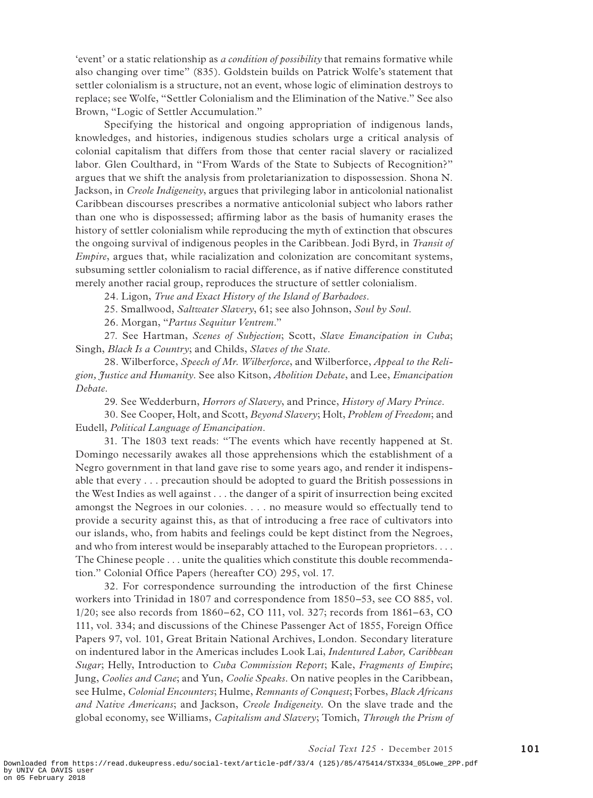'event' or a static relationship as *a condition of possibility* that remains formative while also changing over time" (835). Goldstein builds on Patrick Wolfe's statement that settler colonialism is a structure, not an event, whose logic of elimination destroys to replace; see Wolfe, "Settler Colonialism and the Elimination of the Native." See also Brown, "Logic of Settler Accumulation."

Specifying the historical and ongoing appropriation of indigenous lands, knowledges, and histories, indigenous studies scholars urge a critical analysis of colonial capitalism that differs from those that center racial slavery or racialized labor. Glen Coulthard, in "From Wards of the State to Subjects of Recognition?" argues that we shift the analysis from proletarianization to dispossession. Shona N. Jackson, in *Creole Indigeneity*, argues that privileging labor in anticolonial nationalist Caribbean discourses prescribes a normative anticolonial subject who labors rather than one who is dispossessed; affirming labor as the basis of humanity erases the history of settler colonialism while reproducing the myth of extinction that obscures the ongoing survival of indigenous peoples in the Caribbean. Jodi Byrd, in *Transit of Empire*, argues that, while racialization and colonization are concomitant systems, subsuming settler colonialism to racial difference, as if native difference constituted merely another racial group, reproduces the structure of settler colonialism.

24. Ligon, *True and Exact History of the Island of Barbadoes*.

25. Smallwood, *Saltwater Slavery*, 61; see also Johnson, *Soul by Soul*.

26. Morgan, "*Partus Sequitur Ventrem*."

27. See Hartman, *Scenes of Subjection*; Scott, *Slave Emancipation in Cuba*; Singh, *Black Is a Country*; and Childs, *Slaves of the State*.

28. Wilberforce, *Speech of Mr. Wilberforce*, and Wilberforce, *Appeal to the Religion, Justice and Humanity*. See also Kitson, *Abolition Debate*, and Lee, *Emancipation Debate*.

29. See Wedderburn, *Horrors of Slavery*, and Prince, *History of Mary Prince*.

30. See Cooper, Holt, and Scott, *Beyond Slavery*; Holt, *Problem of Freedom*; and Eudell, *Political Language of Emancipation*.

31. The 1803 text reads: "The events which have recently happened at St. Domingo necessarily awakes all those apprehensions which the establishment of a Negro government in that land gave rise to some years ago, and render it indispensable that every . . . precaution should be adopted to guard the British possessions in the West Indies as well against . . . the danger of a spirit of insurrection being excited amongst the Negroes in our colonies. . . . no measure would so effectually tend to provide a security against this, as that of introducing a free race of cultivators into our islands, who, from habits and feelings could be kept distinct from the Negroes, and who from interest would be inseparably attached to the European proprietors. . . . The Chinese people . . . unite the qualities which constitute this double recommendation." Colonial Office Papers (hereafter CO) 295, vol. 17.

32. For correspondence surrounding the introduction of the first Chinese workers into Trinidad in 1807 and correspondence from 1850–53, see CO 885, vol. 1/20; see also records from 1860–62, CO 111, vol. 327; records from 1861–63, CO 111, vol. 334; and discussions of the Chinese Passenger Act of 1855, Foreign Office Papers 97, vol. 101, Great Britain National Archives, London. Secondary literature on indentured labor in the Americas includes Look Lai, *Indentured Labor, Caribbean Sugar*; Helly, Introduction to *Cuba Commission Report*; Kale, *Fragments of Empire*; Jung, *Coolies and Cane*; and Yun, *Coolie Speaks*. On native peoples in the Caribbean, see Hulme, *Colonial Encounters*; Hulme, *Remnants of Conquest*; Forbes, *Black Africans and Native Americans*; and Jackson, *Creole Indigeneity*. On the slave trade and the global economy, see Williams, *Capitalism and Slavery*; Tomich, *Through the Prism of*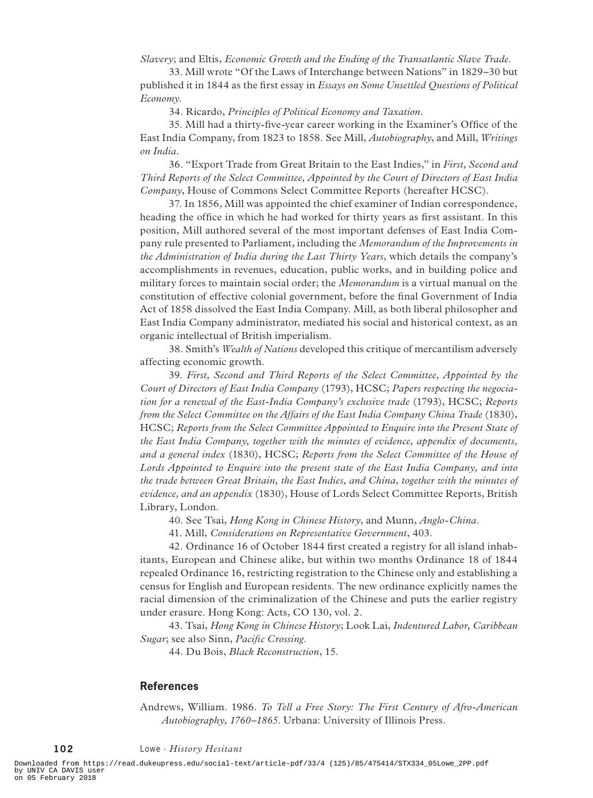*Slavery*; and Eltis, *Economic Growth and the Ending of the Transatlantic Slave Trade*.

33. Mill wrote "Of the Laws of Interchange between Nations" in 1829–30 but published it in 1844 as the first essay in *Essays on Some Unsettled Questions of Political Economy*.

34. Ricardo, *Principles of Political Economy and Taxation.*

35. Mill had a thirty-five-year career working in the Examiner's Office of the East India Company, from 1823 to 1858. See Mill, *Autobiography*, and Mill, *Writings on India*.

36. "Export Trade from Great Britain to the East Indies," in *First, Second and Third Reports of the Select Committee, Appointed by the Court of Directors of East India Company*, House of Commons Select Committee Reports (hereafter HCSC).

37. In 1856, Mill was appointed the chief examiner of Indian correspondence, heading the office in which he had worked for thirty years as first assistant. In this position, Mill authored several of the most important defenses of East India Company rule presented to Parliament, including the *Memorandum of the Improvements in the Administration of India during the Last Thirty Years*, which details the company's accomplishments in revenues, education, public works, and in building police and military forces to maintain social order; the *Memorandum* is a virtual manual on the constitution of effective colonial government, before the final Government of India Act of 1858 dissolved the East India Company. Mill, as both liberal philosopher and East India Company administrator, mediated his social and historical context, as an organic intellectual of British imperialism.

38. Smith's *Wealth of Nations* developed this critique of mercantilism adversely affecting economic growth.

39. *First, Second and Third Reports of the Select Committee, Appointed by the Court of Directors of East India Company* (1793), HCSC; *Papers respecting the negociation for a renewal of the East-India Company's exclusive trade* (1793), HCSC; *Reports from the Select Committee on the Affairs of the East India Company China Trade* (1830), HCSC; *Reports from the Select Committee Appointed to Enquire into the Present State of the East India Company, together with the minutes of evidence, appendix of documents, and a general index* (1830), HCSC; *Reports from the Select Committee of the House of Lords Appointed to Enquire into the present state of the East India Company, and into the trade between Great Britain, the East Indies, and China, together with the minutes of evidence, and an appendix* (1830), House of Lords Select Committee Reports, British Library, London.

40. See Tsai, *Hong Kong in Chinese History*, and Munn, *Anglo-China*.

41. Mill, *Considerations on Representative Government*, 403.

42. Ordinance 16 of October 1844 first created a registry for all island inhabitants, European and Chinese alike, but within two months Ordinance 18 of 1844 repealed Ordinance 16, restricting registration to the Chinese only and establishing a census for English and European residents. The new ordinance explicitly names the racial dimension of the criminalization of the Chinese and puts the earlier registry under erasure. Hong Kong: Acts, CO 130, vol. 2.

43. Tsai, *Hong Kong in Chinese History*; Look Lai, *Indentured Labor, Caribbean Sugar*; see also Sinn, *Pacific Crossing*.

44. Du Bois, *Black Reconstruction*, 15.

### **References**

Andrews, William. 1986. *To Tell a Free Story: The First Century of Afro-American Autobiography, 1760–1865*. Urbana: University of Illinois Press.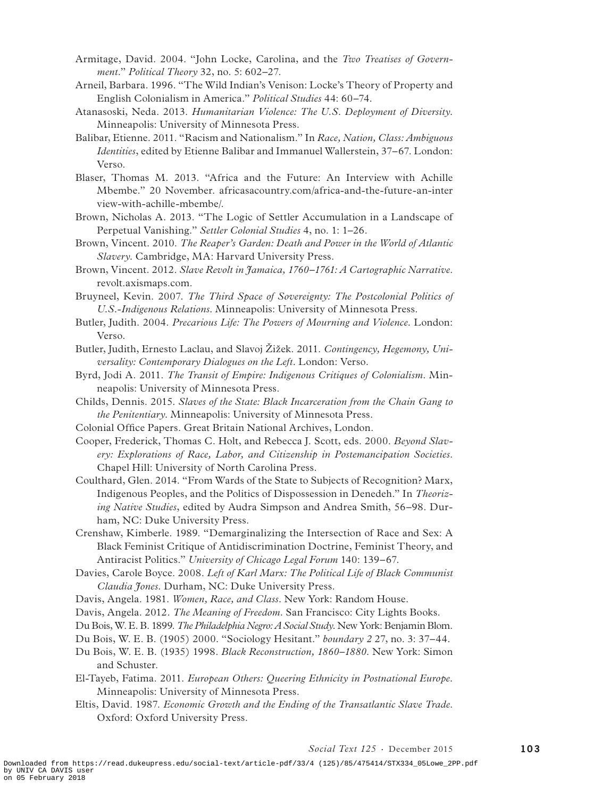- Armitage, David. 2004. "John Locke, Carolina, and the *Two Treatises of Government*." *Political Theory* 32, no. 5: 602–27.
- Arneil, Barbara. 1996. "The Wild Indian's Venison: Locke's Theory of Property and English Colonialism in America." *Political Studies* 44: 60–74.
- Atanasoski, Neda. 2013. *Humanitarian Violence: The U.S. Deployment of Diversity.* Minneapolis: University of Minnesota Press.
- Balibar, Etienne. 2011. "Racism and Nationalism." In *Race, Nation, Class: Ambiguous Identities*, edited by Etienne Balibar and Immanuel Wallerstein, 37–67. London: Verso.
- Blaser, Thomas M. 2013. "Africa and the Future: An Interview with Achille Mbembe." 20 November. africasacountry.com/africa-and-the-future-an-inter view-with-achille-mbembe/.
- Brown, Nicholas A. 2013. "The Logic of Settler Accumulation in a Landscape of Perpetual Vanishing." *Settler Colonial Studies* 4, no. 1: 1–26.
- Brown, Vincent. 2010. *The Reaper's Garden: Death and Power in the World of Atlantic Slavery.* Cambridge, MA: Harvard University Press.
- Brown, Vincent. 2012. *Slave Revolt in Jamaica, 1760–1761: A Cartographic Narrative*. revolt.axismaps.com.
- Bruyneel, Kevin. 2007. *The Third Space of Sovereignty: The Postcolonial Politics of U.S.-Indigenous Relations.* Minneapolis: University of Minnesota Press.
- Butler, Judith. 2004. *Precarious Life: The Powers of Mourning and Violence.* London: Verso.
- Butler, Judith, Ernesto Laclau, and Slavoj Žižek. 2011. *Contingency, Hegemony, Universality: Contemporary Dialogues on the Left.* London: Verso.
- Byrd, Jodi A. 2011. *The Transit of Empire: Indigenous Critiques of Colonialism.* Minneapolis: University of Minnesota Press.
- Childs, Dennis. 2015. *Slaves of the State: Black Incarceration from the Chain Gang to the Penitentiary.* Minneapolis: University of Minnesota Press.
- Colonial Office Papers. Great Britain National Archives, London.
- Cooper, Frederick, Thomas C. Holt, and Rebecca J. Scott, eds. 2000. *Beyond Slavery: Explorations of Race, Labor, and Citizenship in Postemancipation Societies*. Chapel Hill: University of North Carolina Press.
- Coulthard, Glen. 2014. "From Wards of the State to Subjects of Recognition? Marx, Indigenous Peoples, and the Politics of Dispossession in Denedeh." In *Theorizing Native Studies*, edited by Audra Simpson and Andrea Smith, 56–98. Durham, NC: Duke University Press.
- Crenshaw, Kimberle. 1989. "Demarginalizing the Intersection of Race and Sex: A Black Feminist Critique of Antidiscrimination Doctrine, Feminist Theory, and Antiracist Politics." *University of Chicago Legal Forum* 140: 139–67.
- Davies, Carole Boyce. 2008. *Left of Karl Marx: The Political Life of Black Communist Claudia Jones.* Durham, NC: Duke University Press.
- Davis, Angela. 1981. *Women, Race, and Class.* New York: Random House.
- Davis, Angela. 2012. *The Meaning of Freedom*. San Francisco: City Lights Books.
- Du Bois, W. E. B. 1899. *The Philadelphia Negro: A Social Study.* New York: Benjamin Blom.
- Du Bois, W. E. B. (1905) 2000. "Sociology Hesitant." *boundary 2* 27, no. 3: 37–44.
- Du Bois, W. E. B. (1935) 1998. *Black Reconstruction, 1860–1880.* New York: Simon and Schuster.
- El-Tayeb, Fatima. 2011. *European Others: Queering Ethnicity in Postnational Europe.* Minneapolis: University of Minnesota Press.
- Eltis, David. 1987. *Economic Growth and the Ending of the Transatlantic Slave Trade*. Oxford: Oxford University Press.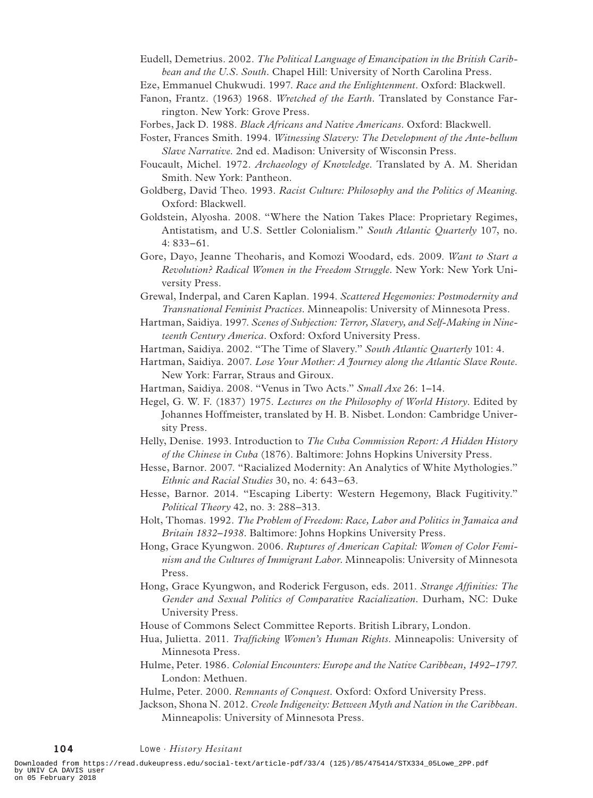- Eudell, Demetrius. 2002. *The Political Language of Emancipation in the British Caribbean and the U.S. South.* Chapel Hill: University of North Carolina Press.
- Eze, Emmanuel Chukwudi. 1997. *Race and the Enlightenment*. Oxford: Blackwell.
- Fanon, Frantz. (1963) 1968. *Wretched of the Earth.* Translated by Constance Farrington. New York: Grove Press.
- Forbes, Jack D. 1988. *Black Africans and Native Americans*. Oxford: Blackwell.
- Foster, Frances Smith. 1994. *Witnessing Slavery: The Development of the Ante-bellum Slave Narrative.* 2nd ed. Madison: University of Wisconsin Press.
- Foucault, Michel. 1972. *Archaeology of Knowledge*. Translated by A. M. Sheridan Smith. New York: Pantheon.
- Goldberg, David Theo. 1993. *Racist Culture: Philosophy and the Politics of Meaning.* Oxford: Blackwell.
- Goldstein, Alyosha. 2008. "Where the Nation Takes Place: Proprietary Regimes, Antistatism, and U.S. Settler Colonialism." *South Atlantic Quarterly* 107, no. 4: 833–61.
- Gore, Dayo, Jeanne Theoharis, and Komozi Woodard, eds. 2009. *Want to Start a Revolution? Radical Women in the Freedom Struggle.* New York: New York University Press.
- Grewal, Inderpal, and Caren Kaplan. 1994. *Scattered Hegemonies: Postmodernity and Transnational Feminist Practices.* Minneapolis: University of Minnesota Press.
- Hartman, Saidiya. 1997. *Scenes of Subjection: Terror, Slavery, and Self-Making in Nineteenth Century America*. Oxford: Oxford University Press.
- Hartman, Saidiya. 2002. "The Time of Slavery." *South Atlantic Quarterly* 101: 4.
- Hartman, Saidiya. 2007. *Lose Your Mother: A Journey along the Atlantic Slave Route.* New York: Farrar, Straus and Giroux.
- Hartman, Saidiya. 2008. "Venus in Two Acts." *Small Axe* 26: 1–14.
- Hegel, G. W. F. (1837) 1975. *Lectures on the Philosophy of World History*. Edited by Johannes Hoffmeister, translated by H. B. Nisbet. London: Cambridge University Press.
- Helly, Denise. 1993. Introduction to *The Cuba Commission Report: A Hidden History of the Chinese in Cuba* (1876). Baltimore: Johns Hopkins University Press.
- Hesse, Barnor. 2007. "Racialized Modernity: An Analytics of White Mythologies." *Ethnic and Racial Studies* 30, no. 4: 643–63.
- Hesse, Barnor. 2014. "Escaping Liberty: Western Hegemony, Black Fugitivity." *Political Theory* 42, no. 3: 288–313.
- Holt, Thomas. 1992. *The Problem of Freedom: Race, Labor and Politics in Jamaica and Britain 1832–1938.* Baltimore: Johns Hopkins University Press.
- Hong, Grace Kyungwon. 2006. *Ruptures of American Capital: Women of Color Feminism and the Cultures of Immigrant Labor.* Minneapolis: University of Minnesota Press.
- Hong, Grace Kyungwon, and Roderick Ferguson, eds. 2011. *Strange Affinities: The Gender and Sexual Politics of Comparative Racialization.* Durham, NC: Duke University Press.
- House of Commons Select Committee Reports. British Library, London.
- Hua, Julietta. 2011. *Trafficking Women's Human Rights*. Minneapolis: University of Minnesota Press.
- Hulme, Peter. 1986. *Colonial Encounters: Europe and the Native Caribbean, 1492–1797*. London: Methuen.
- Hulme, Peter. 2000. *Remnants of Conquest.* Oxford: Oxford University Press.
- Jackson, Shona N. 2012. *Creole Indigeneity: Between Myth and Nation in the Caribbean*. Minneapolis: University of Minnesota Press.

**104** Lowe · *History Hesitant*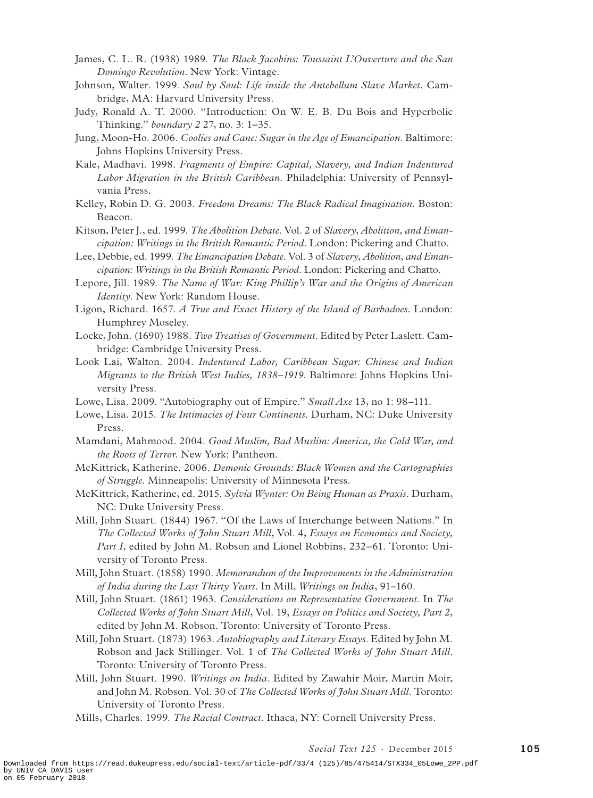- James, C. L. R. (1938) 1989. *The Black Jacobins: Toussaint L'Ouverture and the San Domingo Revolution*. New York: Vintage.
- Johnson, Walter. 1999. *Soul by Soul: Life inside the Antebellum Slave Market.* Cambridge, MA: Harvard University Press.
- Judy, Ronald A. T. 2000. "Introduction: On W. E. B. Du Bois and Hyperbolic Thinking." *boundary 2* 27, no. 3: 1–35.
- Jung, Moon-Ho. 2006. *Coolies and Cane: Sugar in the Age of Emancipation*. Baltimore: Johns Hopkins University Press.
- Kale, Madhavi. 1998. *Fragments of Empire: Capital, Slavery, and Indian Indentured Labor Migration in the British Caribbean.* Philadelphia: University of Pennsylvania Press.
- Kelley, Robin D. G. 2003. *Freedom Dreams: The Black Radical Imagination.* Boston: Beacon.
- Kitson, Peter J., ed. 1999. *The Abolition Debate*. Vol. 2 of *Slavery, Abolition, and Emancipation: Writings in the British Romantic Period.* London: Pickering and Chatto.
- Lee, Debbie, ed. 1999. *The Emancipation Debate*. Vol. 3 of *Slavery, Abolition, and Emancipation: Writings in the British Romantic Period*. London: Pickering and Chatto.
- Lepore, Jill. 1989. *The Name of War: King Phillip's War and the Origins of American Identity.* New York: Random House.
- Ligon, Richard. 1657. *A True and Exact History of the Island of Barbadoes.* London: Humphrey Moseley.
- Locke, John. (1690) 1988. *Two Treatises of Government*. Edited by Peter Laslett. Cambridge: Cambridge University Press.
- Look Lai, Walton. 2004. *Indentured Labor, Caribbean Sugar: Chinese and Indian Migrants to the British West Indies, 1838–1919*. Baltimore: Johns Hopkins University Press.
- Lowe, Lisa. 2009. "Autobiography out of Empire." *Small Axe* 13, no 1: 98–111.
- Lowe, Lisa. 2015. *The Intimacies of Four Continents.* Durham, NC: Duke University Press.
- Mamdani, Mahmood. 2004. *Good Muslim, Bad Muslim: America, the Cold War, and the Roots of Terror.* New York: Pantheon.
- McKittrick, Katherine. 2006. *Demonic Grounds: Black Women and the Cartographies of Struggle.* Minneapolis: University of Minnesota Press.
- McKittrick, Katherine, ed. 2015. *Sylvia Wynter: On Being Human as Praxis.* Durham, NC: Duke University Press.
- Mill, John Stuart. (1844) 1967. "Of the Laws of Interchange between Nations." In *The Collected Works of John Stuart Mill*, Vol. 4, *Essays on Economics and Society, Part I*, edited by John M. Robson and Lionel Robbins, 232–61. Toronto: University of Toronto Press.
- Mill, John Stuart. (1858) 1990. *Memorandum of the Improvements in the Administration of India during the Last Thirty Years.* In Mill, *Writings on India*, 91–160.
- Mill, John Stuart. (1861) 1963. *Considerations on Representative Government*. In *The Collected Works of John Stuart Mill*, Vol. 19, *Essays on Politics and Society, Part 2*, edited by John M. Robson. Toronto: University of Toronto Press.
- Mill, John Stuart. (1873) 1963. *Autobiography and Literary Essays*. Edited by John M. Robson and Jack Stillinger. Vol. 1 of *The Collected Works of John Stuart Mill.* Toronto: University of Toronto Press.
- Mill, John Stuart. 1990. *Writings on India*. Edited by Zawahir Moir, Martin Moir, and John M. Robson. Vol. 30 of *The Collected Works of John Stuart Mill.* Toronto: University of Toronto Press.
- Mills, Charles. 1999. *The Racial Contract.* Ithaca, NY: Cornell University Press.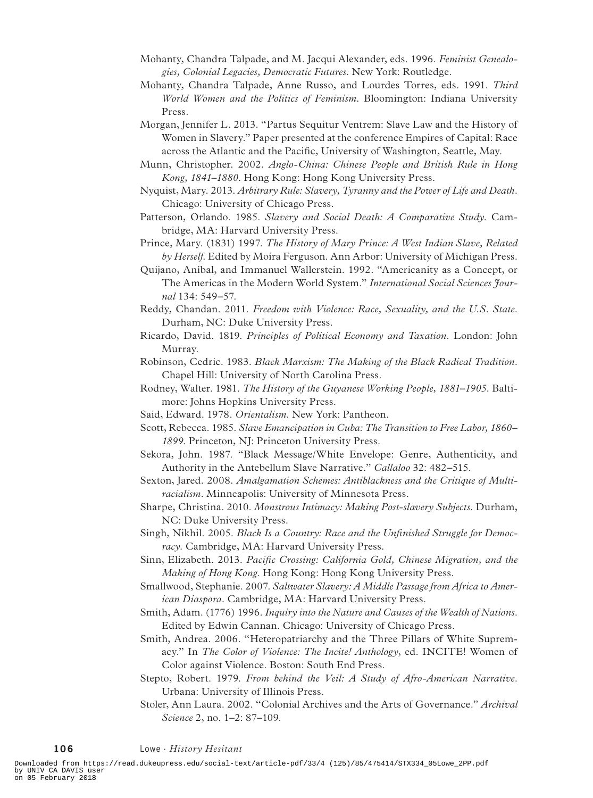- Mohanty, Chandra Talpade, and M. Jacqui Alexander, eds. 1996. *Feminist Genealogies, Colonial Legacies, Democratic Futures*. New York: Routledge.
- Mohanty, Chandra Talpade, Anne Russo, and Lourdes Torres, eds. 1991. *Third World Women and the Politics of Feminism.* Bloomington: Indiana University Press.
- Morgan, Jennifer L. 2013. "Partus Sequitur Ventrem: Slave Law and the History of Women in Slavery." Paper presented at the conference Empires of Capital: Race across the Atlantic and the Pacific, University of Washington, Seattle, May.
- Munn, Christopher. 2002. *Anglo-China: Chinese People and British Rule in Hong Kong, 1841–1880.* Hong Kong: Hong Kong University Press.
- Nyquist, Mary. 2013. *Arbitrary Rule: Slavery, Tyranny and the Power of Life and Death*. Chicago: University of Chicago Press.
- Patterson, Orlando. 1985. *Slavery and Social Death: A Comparative Study.* Cambridge, MA: Harvard University Press.
- Prince, Mary. (1831) 1997. *The History of Mary Prince: A West Indian Slave, Related by Herself.* Edited by Moira Ferguson. Ann Arbor: University of Michigan Press.
- Quijano, Aníbal, and Immanuel Wallerstein. 1992. "Americanity as a Concept, or The Americas in the Modern World System." *International Social Sciences Journal* 134: 549–57.
- Reddy, Chandan. 2011. *Freedom with Violence: Race, Sexuality, and the U.S. State*. Durham, NC: Duke University Press.
- Ricardo, David. 1819. *Principles of Political Economy and Taxation.* London: John Murray.
- Robinson, Cedric. 1983. *Black Marxism: The Making of the Black Radical Tradition*. Chapel Hill: University of North Carolina Press.
- Rodney, Walter. 1981. *The History of the Guyanese Working People, 1881–1905.* Baltimore: Johns Hopkins University Press.
- Said, Edward. 1978. *Orientalism.* New York: Pantheon.
- Scott, Rebecca. 1985. *Slave Emancipation in Cuba: The Transition to Free Labor, 1860– 1899*. Princeton, NJ: Princeton University Press.
- Sekora, John. 1987. "Black Message/White Envelope: Genre, Authenticity, and Authority in the Antebellum Slave Narrative." *Callaloo* 32: 482–515.
- Sexton, Jared. 2008. *Amalgamation Schemes: Antiblackness and the Critique of Multiracialism.* Minneapolis: University of Minnesota Press.
- Sharpe, Christina. 2010. *Monstrous Intimacy: Making Post-slavery Subjects.* Durham, NC: Duke University Press.
- Singh, Nikhil. 2005. *Black Is a Country: Race and the Unfinished Struggle for Democracy*. Cambridge, MA: Harvard University Press.
- Sinn, Elizabeth. 2013. *Pacific Crossing: California Gold, Chinese Migration, and the Making of Hong Kong.* Hong Kong: Hong Kong University Press.
- Smallwood, Stephanie. 2007. *Saltwater Slavery: A Middle Passage from Africa to American Diaspora.* Cambridge, MA: Harvard University Press.
- Smith, Adam. (1776) 1996. *Inquiry into the Nature and Causes of the Wealth of Nations*. Edited by Edwin Cannan. Chicago: University of Chicago Press.
- Smith, Andrea. 2006. "Heteropatriarchy and the Three Pillars of White Supremacy." In *The Color of Violence: The Incite! Anthology*, ed. INCITE! Women of Color against Violence. Boston: South End Press.
- Stepto, Robert. 1979. *From behind the Veil: A Study of Afro-American Narrative*. Urbana: University of Illinois Press.
- Stoler, Ann Laura. 2002. "Colonial Archives and the Arts of Governance." *Archival Science* 2, no. 1–2: 87–109.

**106** Lowe · *History Hesitant*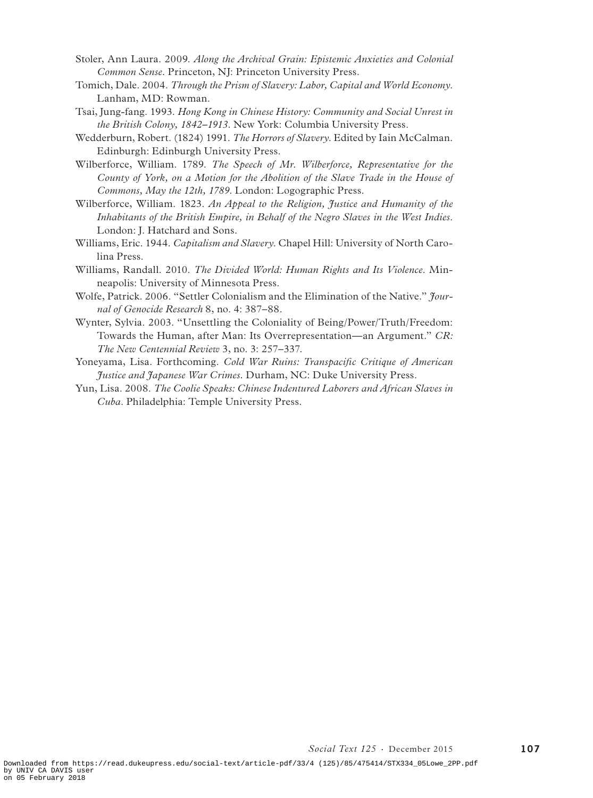- Stoler, Ann Laura. 2009. *Along the Archival Grain: Epistemic Anxieties and Colonial Common Sense.* Princeton, NJ: Princeton University Press.
- Tomich, Dale. 2004. *Through the Prism of Slavery: Labor, Capital and World Economy*. Lanham, MD: Rowman.
- Tsai, Jung-fang. 1993. *Hong Kong in Chinese History: Community and Social Unrest in the British Colony, 1842–1913.* New York: Columbia University Press.
- Wedderburn, Robert. (1824) 1991. *The Horrors of Slavery*. Edited by Iain McCalman. Edinburgh: Edinburgh University Press.
- Wilberforce, William. 1789. *The Speech of Mr. Wilberforce, Representative for the County of York, on a Motion for the Abolition of the Slave Trade in the House of Commons, May the 12th, 1789*. London: Logographic Press.
- Wilberforce, William. 1823. *An Appeal to the Religion, Justice and Humanity of the Inhabitants of the British Empire, in Behalf of the Negro Slaves in the West Indies*. London: J. Hatchard and Sons.
- Williams, Eric. 1944. *Capitalism and Slavery*. Chapel Hill: University of North Carolina Press.
- Williams, Randall. 2010. *The Divided World: Human Rights and Its Violence*. Minneapolis: University of Minnesota Press.
- Wolfe, Patrick. 2006. "Settler Colonialism and the Elimination of the Native." *Journal of Genocide Research* 8, no. 4: 387–88.
- Wynter, Sylvia. 2003. "Unsettling the Coloniality of Being/Power/Truth/Freedom: Towards the Human, after Man: Its Overrepresentation—an Argument." *CR: The New Centennial Review* 3, no. 3: 257–337.
- Yoneyama, Lisa. Forthcoming. *Cold War Ruins: Transpacific Critique of American Justice and Japanese War Crimes.* Durham, NC: Duke University Press.
- Yun, Lisa. 2008. *The Coolie Speaks: Chinese Indentured Laborers and African Slaves in Cuba*. Philadelphia: Temple University Press.